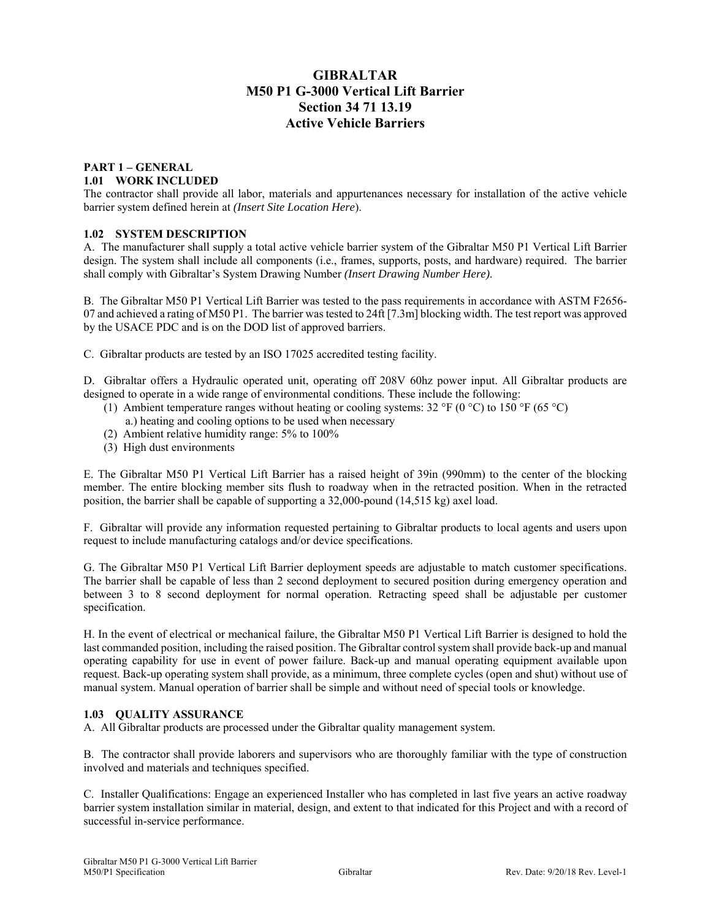# **GIBRALTAR M50 P1 G-3000 Vertical Lift Barrier Section 34 71 13.19 Active Vehicle Barriers**

### **PART 1 – GENERAL 1.01 WORK INCLUDED**

The contractor shall provide all labor, materials and appurtenances necessary for installation of the active vehicle barrier system defined herein at *(Insert Site Location Here*).

### **1.02 SYSTEM DESCRIPTION**

A. The manufacturer shall supply a total active vehicle barrier system of the Gibraltar M50 P1 Vertical Lift Barrier design. The system shall include all components (i.e., frames, supports, posts, and hardware) required. The barrier shall comply with Gibraltar's System Drawing Number *(Insert Drawing Number Here)*.

B. The Gibraltar M50 P1 Vertical Lift Barrier was tested to the pass requirements in accordance with ASTM F2656- 07 and achieved a rating of M50 P1. The barrier was tested to  $24\hat{\text{ft}}$  [7.3m] blocking width. The test report was approved by the USACE PDC and is on the DOD list of approved barriers.

C. Gibraltar products are tested by an ISO 17025 accredited testing facility.

D. Gibraltar offers a Hydraulic operated unit, operating off 208V 60hz power input. All Gibraltar products are designed to operate in a wide range of environmental conditions. These include the following:

- (1) Ambient temperature ranges without heating or cooling systems:  $32 \text{ }^{\circ}\text{F}$  (0  $\text{ }^{\circ}\text{C}$ ) to  $150 \text{ }^{\circ}\text{F}$  (65  $\text{ }^{\circ}\text{C}$ )
- a.) heating and cooling options to be used when necessary
- (2) Ambient relative humidity range: 5% to 100%
- (3) High dust environments

E. The Gibraltar M50 P1 Vertical Lift Barrier has a raised height of 39in (990mm) to the center of the blocking member. The entire blocking member sits flush to roadway when in the retracted position. When in the retracted position, the barrier shall be capable of supporting a 32,000-pound (14,515 kg) axel load.

F. Gibraltar will provide any information requested pertaining to Gibraltar products to local agents and users upon request to include manufacturing catalogs and/or device specifications.

G. The Gibraltar M50 P1 Vertical Lift Barrier deployment speeds are adjustable to match customer specifications. The barrier shall be capable of less than 2 second deployment to secured position during emergency operation and between 3 to 8 second deployment for normal operation. Retracting speed shall be adjustable per customer specification.

H. In the event of electrical or mechanical failure, the Gibraltar M50 P1 Vertical Lift Barrier is designed to hold the last commanded position, including the raised position. The Gibraltar control system shall provide back-up and manual operating capability for use in event of power failure. Back-up and manual operating equipment available upon request. Back-up operating system shall provide, as a minimum, three complete cycles (open and shut) without use of manual system. Manual operation of barrier shall be simple and without need of special tools or knowledge.

### **1.03 QUALITY ASSURANCE**

A. All Gibraltar products are processed under the Gibraltar quality management system.

B. The contractor shall provide laborers and supervisors who are thoroughly familiar with the type of construction involved and materials and techniques specified.

C. Installer Qualifications: Engage an experienced Installer who has completed in last five years an active roadway barrier system installation similar in material, design, and extent to that indicated for this Project and with a record of successful in-service performance.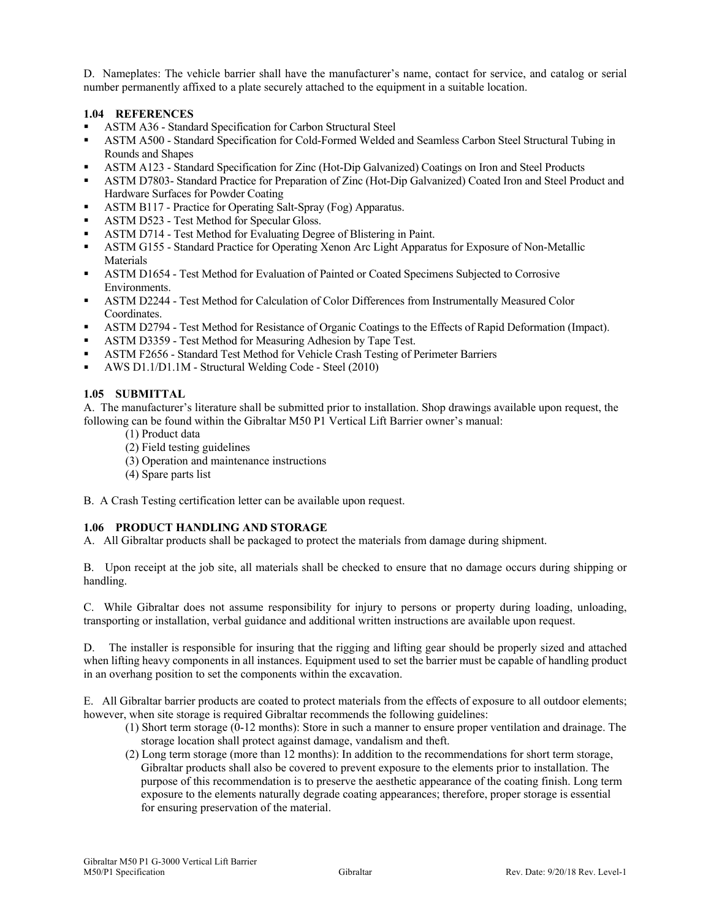D. Nameplates: The vehicle barrier shall have the manufacturer's name, contact for service, and catalog or serial number permanently affixed to a plate securely attached to the equipment in a suitable location.

### **1.04 REFERENCES**

- ASTM A36 Standard Specification for Carbon Structural Steel
- ASTM A500 Standard Specification for Cold-Formed Welded and Seamless Carbon Steel Structural Tubing in Rounds and Shapes
- ASTM A123 Standard Specification for Zinc (Hot-Dip Galvanized) Coatings on Iron and Steel Products
- ASTM D7803- Standard Practice for Preparation of Zinc (Hot-Dip Galvanized) Coated Iron and Steel Product and Hardware Surfaces for Powder Coating
- ASTM B117 Practice for Operating Salt-Spray (Fog) Apparatus.
- ASTM D523 Test Method for Specular Gloss.
- ASTM D714 Test Method for Evaluating Degree of Blistering in Paint.
- ASTM G155 Standard Practice for Operating Xenon Arc Light Apparatus for Exposure of Non-Metallic Materials
- ASTM D1654 Test Method for Evaluation of Painted or Coated Specimens Subjected to Corrosive Environments.
- ASTM D2244 Test Method for Calculation of Color Differences from Instrumentally Measured Color Coordinates.
- ASTM D2794 Test Method for Resistance of Organic Coatings to the Effects of Rapid Deformation (Impact).
- ASTM D3359 Test Method for Measuring Adhesion by Tape Test.
- ASTM F2656 Standard Test Method for Vehicle Crash Testing of Perimeter Barriers
- AWS D1.1/D1.1M Structural Welding Code Steel (2010)

### **1.05 SUBMITTAL**

A. The manufacturer's literature shall be submitted prior to installation. Shop drawings available upon request, the following can be found within the Gibraltar M50 P1 Vertical Lift Barrier owner's manual:

- (1) Product data
- (2) Field testing guidelines
- (3) Operation and maintenance instructions
- (4) Spare parts list

B. A Crash Testing certification letter can be available upon request.

# **1.06 PRODUCT HANDLING AND STORAGE**

A. All Gibraltar products shall be packaged to protect the materials from damage during shipment.

B. Upon receipt at the job site, all materials shall be checked to ensure that no damage occurs during shipping or handling.

C. While Gibraltar does not assume responsibility for injury to persons or property during loading, unloading, transporting or installation, verbal guidance and additional written instructions are available upon request.

D. The installer is responsible for insuring that the rigging and lifting gear should be properly sized and attached when lifting heavy components in all instances. Equipment used to set the barrier must be capable of handling product in an overhang position to set the components within the excavation.

E. All Gibraltar barrier products are coated to protect materials from the effects of exposure to all outdoor elements; however, when site storage is required Gibraltar recommends the following guidelines:

- (1) Short term storage (0-12 months): Store in such a manner to ensure proper ventilation and drainage. The storage location shall protect against damage, vandalism and theft.
- (2) Long term storage (more than 12 months): In addition to the recommendations for short term storage, Gibraltar products shall also be covered to prevent exposure to the elements prior to installation. The purpose of this recommendation is to preserve the aesthetic appearance of the coating finish. Long term exposure to the elements naturally degrade coating appearances; therefore, proper storage is essential for ensuring preservation of the material.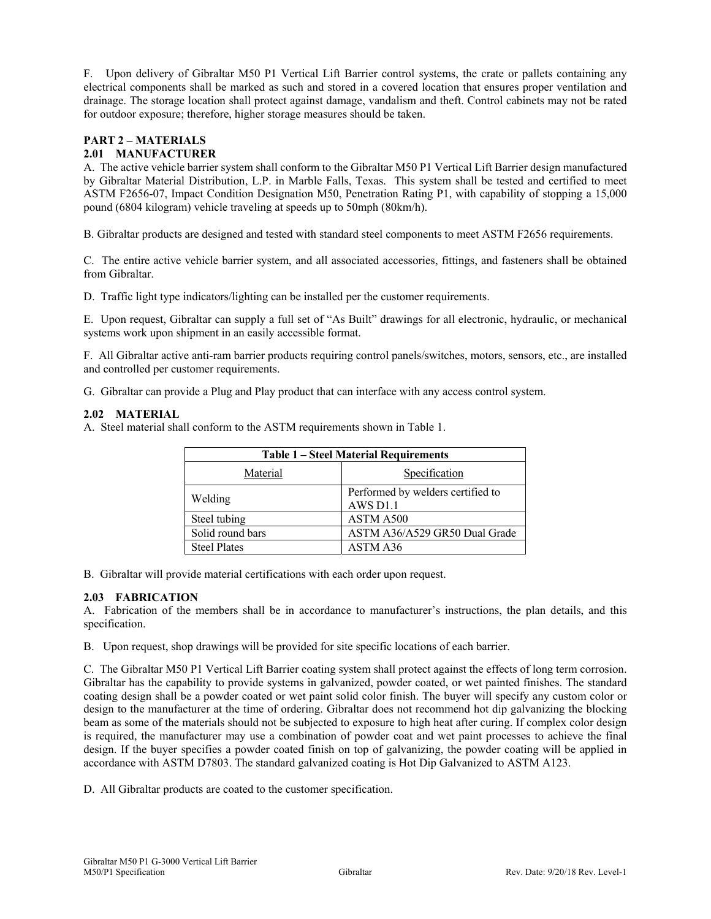F. Upon delivery of Gibraltar M50 P1 Vertical Lift Barrier control systems, the crate or pallets containing any electrical components shall be marked as such and stored in a covered location that ensures proper ventilation and drainage. The storage location shall protect against damage, vandalism and theft. Control cabinets may not be rated for outdoor exposure; therefore, higher storage measures should be taken.

# **PART 2 – MATERIALS**

### **2.01 MANUFACTURER**

A. The active vehicle barrier system shall conform to the Gibraltar M50 P1 Vertical Lift Barrier design manufactured by Gibraltar Material Distribution, L.P. in Marble Falls, Texas. This system shall be tested and certified to meet ASTM F2656-07, Impact Condition Designation M50, Penetration Rating P1, with capability of stopping a 15,000 pound (6804 kilogram) vehicle traveling at speeds up to 50mph (80km/h).

B. Gibraltar products are designed and tested with standard steel components to meet ASTM F2656 requirements.

C. The entire active vehicle barrier system, and all associated accessories, fittings, and fasteners shall be obtained from Gibraltar.

D. Traffic light type indicators/lighting can be installed per the customer requirements.

E. Upon request, Gibraltar can supply a full set of "As Built" drawings for all electronic, hydraulic, or mechanical systems work upon shipment in an easily accessible format.

F. All Gibraltar active anti-ram barrier products requiring control panels/switches, motors, sensors, etc., are installed and controlled per customer requirements.

G. Gibraltar can provide a Plug and Play product that can interface with any access control system.

### **2.02 MATERIAL**

A. Steel material shall conform to the ASTM requirements shown in Table 1.

| <b>Table 1 - Steel Material Requirements</b> |                                                           |
|----------------------------------------------|-----------------------------------------------------------|
| Material                                     | Specification                                             |
| Welding                                      | Performed by welders certified to<br>AWS D <sub>1.1</sub> |
| Steel tubing                                 | ASTM A500                                                 |
| Solid round bars                             | ASTM A36/A529 GR50 Dual Grade                             |
| <b>Steel Plates</b>                          | ASTM A36                                                  |

B. Gibraltar will provide material certifications with each order upon request.

#### **2.03 FABRICATION**

A. Fabrication of the members shall be in accordance to manufacturer's instructions, the plan details, and this specification.

B. Upon request, shop drawings will be provided for site specific locations of each barrier.

C. The Gibraltar M50 P1 Vertical Lift Barrier coating system shall protect against the effects of long term corrosion. Gibraltar has the capability to provide systems in galvanized, powder coated, or wet painted finishes. The standard coating design shall be a powder coated or wet paint solid color finish. The buyer will specify any custom color or design to the manufacturer at the time of ordering. Gibraltar does not recommend hot dip galvanizing the blocking beam as some of the materials should not be subjected to exposure to high heat after curing. If complex color design is required, the manufacturer may use a combination of powder coat and wet paint processes to achieve the final design. If the buyer specifies a powder coated finish on top of galvanizing, the powder coating will be applied in accordance with ASTM D7803. The standard galvanized coating is Hot Dip Galvanized to ASTM A123.

D. All Gibraltar products are coated to the customer specification.